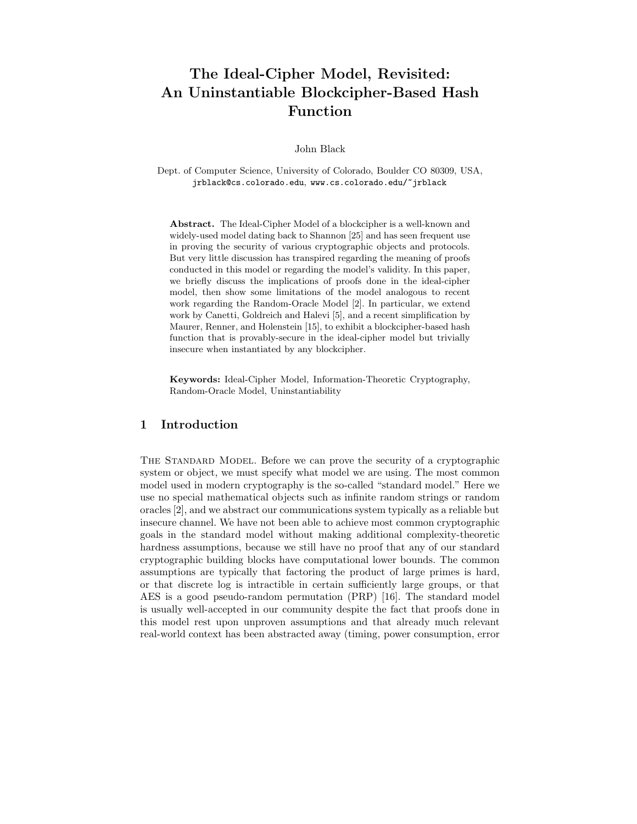# The Ideal-Cipher Model, Revisited: An Uninstantiable Blockcipher-Based Hash Function

#### John Black

Dept. of Computer Science, University of Colorado, Boulder CO 80309, USA, jrblack@cs.colorado.edu, www.cs.colorado.edu/~jrblack

Abstract. The Ideal-Cipher Model of a blockcipher is a well-known and widely-used model dating back to Shannon [25] and has seen frequent use in proving the security of various cryptographic objects and protocols. But very little discussion has transpired regarding the meaning of proofs conducted in this model or regarding the model's validity. In this paper, we briefly discuss the implications of proofs done in the ideal-cipher model, then show some limitations of the model analogous to recent work regarding the Random-Oracle Model [2]. In particular, we extend work by Canetti, Goldreich and Halevi [5], and a recent simplification by Maurer, Renner, and Holenstein [15], to exhibit a blockcipher-based hash function that is provably-secure in the ideal-cipher model but trivially insecure when instantiated by any blockcipher.

Keywords: Ideal-Cipher Model, Information-Theoretic Cryptography, Random-Oracle Model, Uninstantiability

## 1 Introduction

The Standard Model. Before we can prove the security of a cryptographic system or object, we must specify what model we are using. The most common model used in modern cryptography is the so-called "standard model." Here we use no special mathematical objects such as infinite random strings or random oracles [2], and we abstract our communications system typically as a reliable but insecure channel. We have not been able to achieve most common cryptographic goals in the standard model without making additional complexity-theoretic hardness assumptions, because we still have no proof that any of our standard cryptographic building blocks have computational lower bounds. The common assumptions are typically that factoring the product of large primes is hard, or that discrete log is intractible in certain sufficiently large groups, or that AES is a good pseudo-random permutation (PRP) [16]. The standard model is usually well-accepted in our community despite the fact that proofs done in this model rest upon unproven assumptions and that already much relevant real-world context has been abstracted away (timing, power consumption, error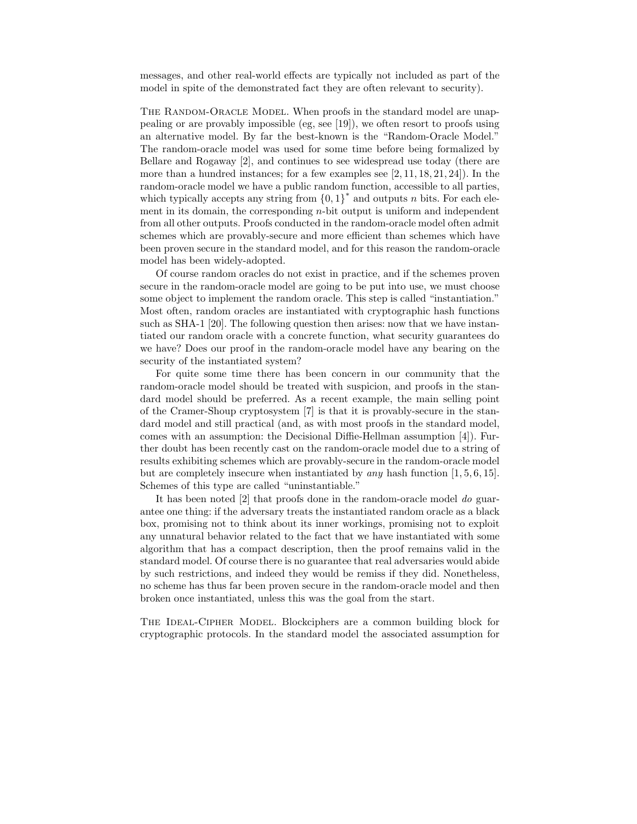messages, and other real-world effects are typically not included as part of the model in spite of the demonstrated fact they are often relevant to security).

THE RANDOM-ORACLE MODEL. When proofs in the standard model are unappealing or are provably impossible (eg, see [19]), we often resort to proofs using an alternative model. By far the best-known is the "Random-Oracle Model." The random-oracle model was used for some time before being formalized by Bellare and Rogaway [2], and continues to see widespread use today (there are more than a hundred instances; for a few examples see  $[2, 11, 18, 21, 24]$ . In the random-oracle model we have a public random function, accessible to all parties, which typically accepts any string from  $\{0, 1\}^*$  and outputs n bits. For each element in its domain, the corresponding n-bit output is uniform and independent from all other outputs. Proofs conducted in the random-oracle model often admit schemes which are provably-secure and more efficient than schemes which have been proven secure in the standard model, and for this reason the random-oracle model has been widely-adopted.

Of course random oracles do not exist in practice, and if the schemes proven secure in the random-oracle model are going to be put into use, we must choose some object to implement the random oracle. This step is called "instantiation." Most often, random oracles are instantiated with cryptographic hash functions such as SHA-1 [20]. The following question then arises: now that we have instantiated our random oracle with a concrete function, what security guarantees do we have? Does our proof in the random-oracle model have any bearing on the security of the instantiated system?

For quite some time there has been concern in our community that the random-oracle model should be treated with suspicion, and proofs in the standard model should be preferred. As a recent example, the main selling point of the Cramer-Shoup cryptosystem [7] is that it is provably-secure in the standard model and still practical (and, as with most proofs in the standard model, comes with an assumption: the Decisional Diffie-Hellman assumption [4]). Further doubt has been recently cast on the random-oracle model due to a string of results exhibiting schemes which are provably-secure in the random-oracle model but are completely insecure when instantiated by any hash function [1, 5, 6, 15]. Schemes of this type are called "uninstantiable."

It has been noted [2] that proofs done in the random-oracle model do guarantee one thing: if the adversary treats the instantiated random oracle as a black box, promising not to think about its inner workings, promising not to exploit any unnatural behavior related to the fact that we have instantiated with some algorithm that has a compact description, then the proof remains valid in the standard model. Of course there is no guarantee that real adversaries would abide by such restrictions, and indeed they would be remiss if they did. Nonetheless, no scheme has thus far been proven secure in the random-oracle model and then broken once instantiated, unless this was the goal from the start.

THE IDEAL-CIPHER MODEL. Blockciphers are a common building block for cryptographic protocols. In the standard model the associated assumption for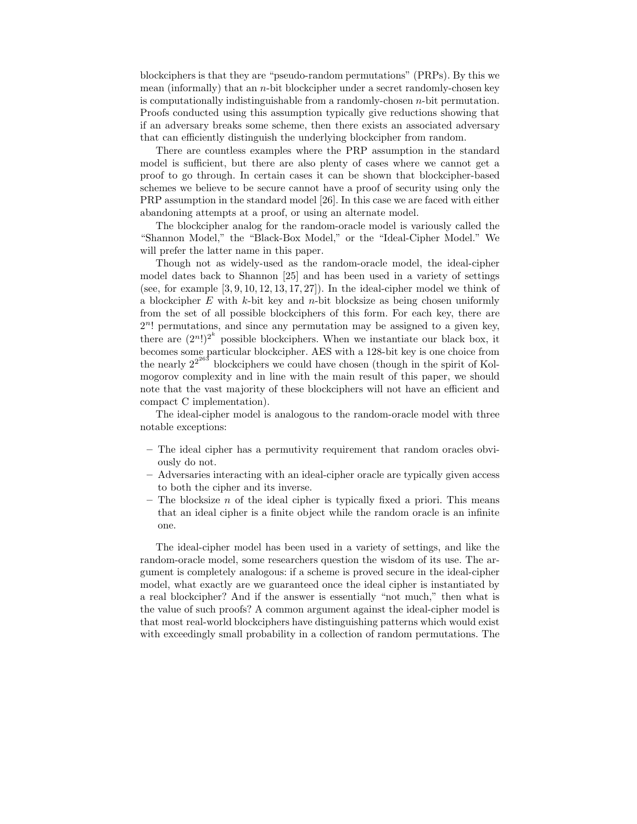blockciphers is that they are "pseudo-random permutations" (PRPs). By this we mean (informally) that an n-bit blockcipher under a secret randomly-chosen key is computationally indistinguishable from a randomly-chosen n-bit permutation. Proofs conducted using this assumption typically give reductions showing that if an adversary breaks some scheme, then there exists an associated adversary that can efficiently distinguish the underlying blockcipher from random.

There are countless examples where the PRP assumption in the standard model is sufficient, but there are also plenty of cases where we cannot get a proof to go through. In certain cases it can be shown that blockcipher-based schemes we believe to be secure cannot have a proof of security using only the PRP assumption in the standard model [26]. In this case we are faced with either abandoning attempts at a proof, or using an alternate model.

The blockcipher analog for the random-oracle model is variously called the "Shannon Model," the "Black-Box Model," or the "Ideal-Cipher Model." We will prefer the latter name in this paper.

Though not as widely-used as the random-oracle model, the ideal-cipher model dates back to Shannon [25] and has been used in a variety of settings (see, for example  $[3, 9, 10, 12, 13, 17, 27]$ ). In the ideal-cipher model we think of a blockcipher E with k-bit key and n-bit blocksize as being chosen uniformly from the set of all possible blockciphers of this form. For each key, there are  $2<sup>n</sup>$ ! permutations, and since any permutation may be assigned to a given key, there are  $(2^n!)^{2^k}$  possible blockciphers. When we instantiate our black box, it becomes some particular blockcipher. AES with a 128-bit key is one choice from the nearly  $2^{2^{265}}$  blockciphers we could have chosen (though in the spirit of Kolmogorov complexity and in line with the main result of this paper, we should note that the vast majority of these blockciphers will not have an efficient and compact C implementation).

The ideal-cipher model is analogous to the random-oracle model with three notable exceptions:

- The ideal cipher has a permutivity requirement that random oracles obviously do not.
- Adversaries interacting with an ideal-cipher oracle are typically given access to both the cipher and its inverse.
- The blocksize n of the ideal cipher is typically fixed a priori. This means that an ideal cipher is a finite object while the random oracle is an infinite one.

The ideal-cipher model has been used in a variety of settings, and like the random-oracle model, some researchers question the wisdom of its use. The argument is completely analogous: if a scheme is proved secure in the ideal-cipher model, what exactly are we guaranteed once the ideal cipher is instantiated by a real blockcipher? And if the answer is essentially "not much," then what is the value of such proofs? A common argument against the ideal-cipher model is that most real-world blockciphers have distinguishing patterns which would exist with exceedingly small probability in a collection of random permutations. The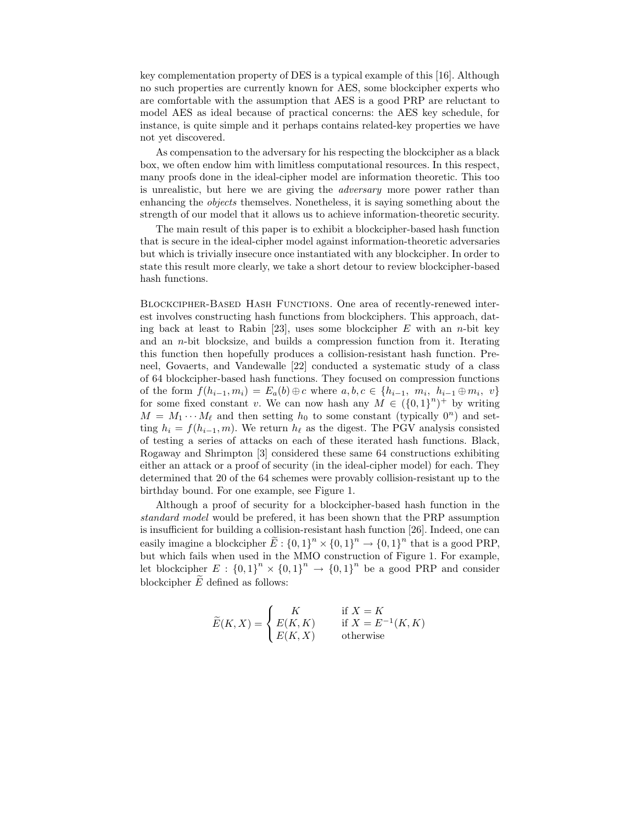key complementation property of DES is a typical example of this [16]. Although no such properties are currently known for AES, some blockcipher experts who are comfortable with the assumption that AES is a good PRP are reluctant to model AES as ideal because of practical concerns: the AES key schedule, for instance, is quite simple and it perhaps contains related-key properties we have not yet discovered.

As compensation to the adversary for his respecting the blockcipher as a black box, we often endow him with limitless computational resources. In this respect, many proofs done in the ideal-cipher model are information theoretic. This too is unrealistic, but here we are giving the adversary more power rather than enhancing the objects themselves. Nonetheless, it is saying something about the strength of our model that it allows us to achieve information-theoretic security.

The main result of this paper is to exhibit a blockcipher-based hash function that is secure in the ideal-cipher model against information-theoretic adversaries but which is trivially insecure once instantiated with any blockcipher. In order to state this result more clearly, we take a short detour to review blockcipher-based hash functions.

Blockcipher-Based Hash Functions. One area of recently-renewed interest involves constructing hash functions from blockciphers. This approach, dating back at least to Rabin [23], uses some blockcipher E with an n-bit key and an n-bit blocksize, and builds a compression function from it. Iterating this function then hopefully produces a collision-resistant hash function. Preneel, Govaerts, and Vandewalle [22] conducted a systematic study of a class of 64 blockcipher-based hash functions. They focused on compression functions of the form  $f(h_{i-1}, m_i) = E_a(b) \oplus c$  where  $a, b, c \in \{h_{i-1}, m_i, h_{i-1} \oplus m_i, v\}$ for some fixed constant v. We can now hash any  $M \in (\{0,1\}^n)^+$  by writing  $M = M_1 \cdots M_\ell$  and then setting  $h_0$  to some constant (typically  $0^n$ ) and setting  $h_i = f(h_{i-1}, m)$ . We return  $h_\ell$  as the digest. The PGV analysis consisted of testing a series of attacks on each of these iterated hash functions. Black, Rogaway and Shrimpton [3] considered these same 64 constructions exhibiting either an attack or a proof of security (in the ideal-cipher model) for each. They determined that 20 of the 64 schemes were provably collision-resistant up to the birthday bound. For one example, see Figure 1.

Although a proof of security for a blockcipher-based hash function in the standard model would be prefered, it has been shown that the PRP assumption is insufficient for building a collision-resistant hash function [26]. Indeed, one can easily imagine a blockcipher  $\widetilde{E}: \{0,1\}^n \times \{0,1\}^n \to \{0,1\}^n$  that is a good PRP, but which fails when used in the MMO construction of Figure 1. For example, let blockcipher  $E: \{0,1\}^n \times \{0,1\}^n \rightarrow \{0,1\}^n$  be a good PRP and consider blockcipher  $E$  defined as follows:

$$
\widetilde{E}(K,X) = \begin{cases}\nK & \text{if } X = K \\
E(K,K) & \text{if } X = E^{-1}(K,K) \\
E(K,X) & \text{otherwise}\n\end{cases}
$$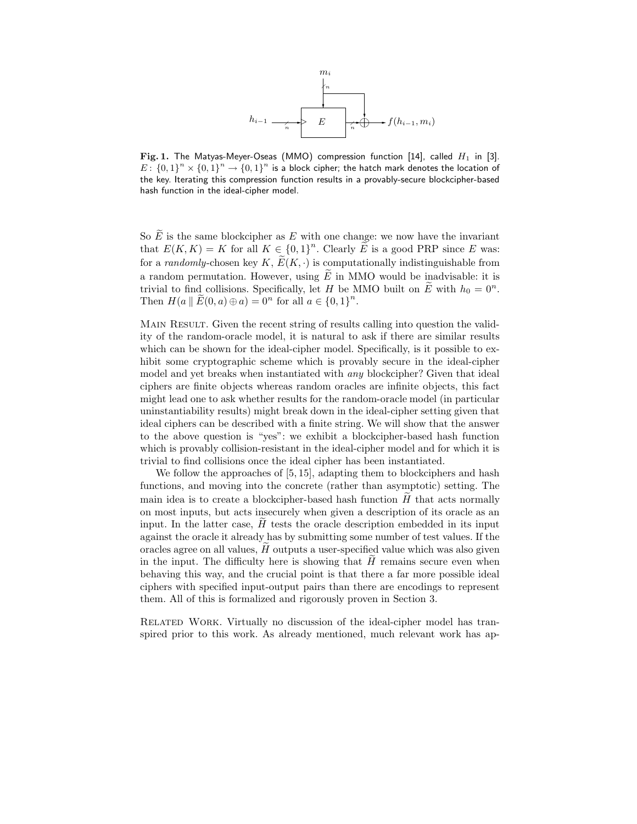

Fig. 1. The Matyas-Meyer-Oseas (MMO) compression function [14], called  $H_1$  in [3].  $E: \{0,1\}^n \times \{0,1\}^n \to \{0,1\}^n$  is a block cipher; the hatch mark denotes the location of the key. Iterating this compression function results in a provably-secure blockcipher-based hash function in the ideal-cipher model.

So  $\widetilde{E}$  is the same blockcipher as E with one change: we now have the invariant that  $E(K, K) = K$  for all  $K \in \{0, 1\}^n$ . Clearly  $\widetilde{E}$  is a good PRP since E was: for a *randomly*-chosen key  $K, \widetilde{E}(K, \cdot)$  is computationally indistinguishable from a random permutation. However, using  $\tilde{E}$  in MMO would be inadvisable: it is trivial to find collisions. Specifically, let H be MMO built on  $\tilde{E}$  with  $h_0 = 0^n$ . Then  $H(a \parallel \widetilde{E}(0, a) \oplus a) = 0^n$  for all  $a \in \{0, 1\}^n$ .

Main Result. Given the recent string of results calling into question the validity of the random-oracle model, it is natural to ask if there are similar results which can be shown for the ideal-cipher model. Specifically, is it possible to exhibit some cryptographic scheme which is provably secure in the ideal-cipher model and yet breaks when instantiated with any blockcipher? Given that ideal ciphers are finite objects whereas random oracles are infinite objects, this fact might lead one to ask whether results for the random-oracle model (in particular uninstantiability results) might break down in the ideal-cipher setting given that ideal ciphers can be described with a finite string. We will show that the answer to the above question is "yes": we exhibit a blockcipher-based hash function which is provably collision-resistant in the ideal-cipher model and for which it is trivial to find collisions once the ideal cipher has been instantiated.

We follow the approaches of  $[5, 15]$ , adapting them to blockciphers and hash functions, and moving into the concrete (rather than asymptotic) setting. The main idea is to create a blockcipher-based hash function  $H$  that acts normally on most inputs, but acts insecurely when given a description of its oracle as an input. In the latter case,  $H$  tests the oracle description embedded in its input against the oracle it already has by submitting some number of test values. If the oracles agree on all values,  $H$  outputs a user-specified value which was also given in the input. The difficulty here is showing that  $H$  remains secure even when behaving this way, and the crucial point is that there a far more possible ideal ciphers with specified input-output pairs than there are encodings to represent them. All of this is formalized and rigorously proven in Section 3.

RELATED WORK. Virtually no discussion of the ideal-cipher model has transpired prior to this work. As already mentioned, much relevant work has ap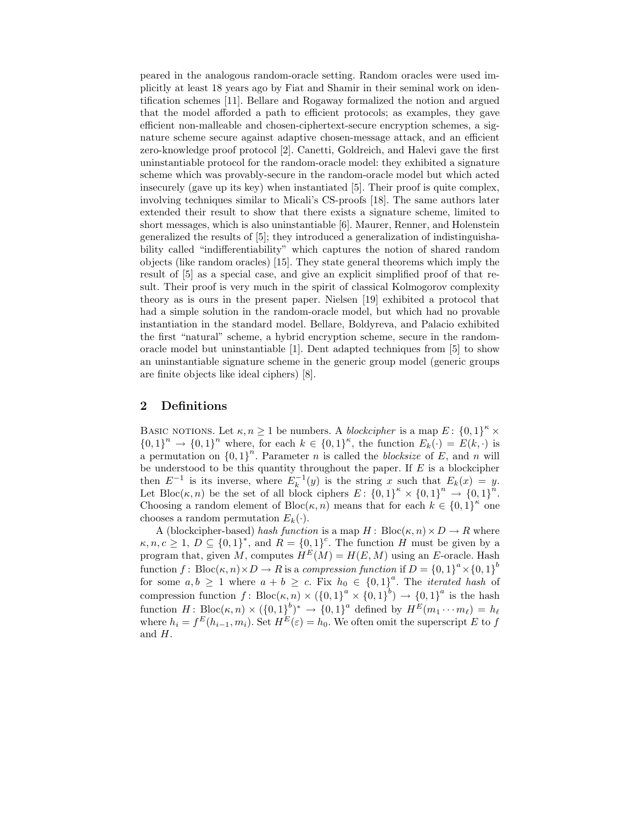peared in the analogous random-oracle setting. Random oracles were used implicitly at least 18 years ago by Fiat and Shamir in their seminal work on identification schemes [11]. Bellare and Rogaway formalized the notion and argued that the model afforded a path to efficient protocols; as examples, they gave efficient non-malleable and chosen-ciphertext-secure encryption schemes, a signature scheme secure against adaptive chosen-message attack, and an efficient zero-knowledge proof protocol [2]. Canetti, Goldreich, and Halevi gave the first uninstantiable protocol for the random-oracle model: they exhibited a signature scheme which was provably-secure in the random-oracle model but which acted insecurely (gave up its key) when instantiated [5]. Their proof is quite complex, involving techniques similar to Micali's CS-proofs [18]. The same authors later extended their result to show that there exists a signature scheme, limited to short messages, which is also uninstantiable [6]. Maurer, Renner, and Holenstein generalized the results of [5]; they introduced a generalization of indistinguishability called "indifferentiability" which captures the notion of shared random objects (like random oracles) [15]. They state general theorems which imply the result of [5] as a special case, and give an explicit simplified proof of that result. Their proof is very much in the spirit of classical Kolmogorov complexity theory as is ours in the present paper. Nielsen [19] exhibited a protocol that had a simple solution in the random-oracle model, but which had no provable instantiation in the standard model. Bellare, Boldyreva, and Palacio exhibited the first "natural" scheme, a hybrid encryption scheme, secure in the randomoracle model but uninstantiable [1]. Dent adapted techniques from [5] to show an uninstantiable signature scheme in the generic group model (generic groups are finite objects like ideal ciphers) [8].

### 2 Definitions

BASIC NOTIONS. Let  $\kappa, n \geq 1$  be numbers. A *blockcipher* is a map  $E: \{0,1\}^{\kappa} \times$  ${0,1}^n \to {0,1}^n$  where, for each  $k \in {0,1}^{\kappa}$ , the function  $E_k(\cdot) = E(k, \cdot)$  is a permutation on  ${0,1}^n$ . Parameter *n* is called the *blocksize* of *E*, and *n* will be understood to be this quantity throughout the paper. If  $E$  is a blockcipher then  $E^{-1}$  is its inverse, where  $E_k^{-1}(y)$  is the string x such that  $E_k(x) = y$ . Let Bloc $(\kappa, n)$  be the set of all block ciphers  $E: \{0,1\}^{\kappa} \times \{0,1\}^n \to \{0,1\}^n$ . Choosing a random element of Bloc $(\kappa, n)$  means that for each  $k \in \{0,1\}^{\kappa}$  one chooses a random permutation  $E_k(\cdot)$ .

A (blockcipher-based) hash function is a map  $H: \text{Bloc}(\kappa, n) \times D \to R$  where  $\kappa, n, c \geq 1, D \subseteq \{0,1\}^*$ , and  $R = \{0,1\}^c$ . The function H must be given by a program that, given M, computes  $H^E(M) = H(E, M)$  using an E-oracle. Hash function  $f: \text{Bloc}(\kappa, n) \times D \to R$  is a *compression function* if  $D = \{0, 1\}^a \times \{0, 1\}^b$ for some  $a, b \ge 1$  where  $a + b \ge c$ . Fix  $h_0 \in \{0,1\}^a$ . The *iterated hash* of compression function  $f: \text{Bloc}(\kappa, n) \times (\{0,1\}^a \times \{0,1\}^b) \to \{0,1\}^a$  is the hash function  $H: \text{Bloc}(\kappa, n) \times (\{0,1\}^b)^* \to \{0,1\}^a$  defined by  $H^E(m_1 \cdots m_\ell) = h_\ell$ where  $h_i = f^E(h_{i-1}, m_i)$ . Set  $H^E(\varepsilon) = h_0$ . We often omit the superscript E to f and H.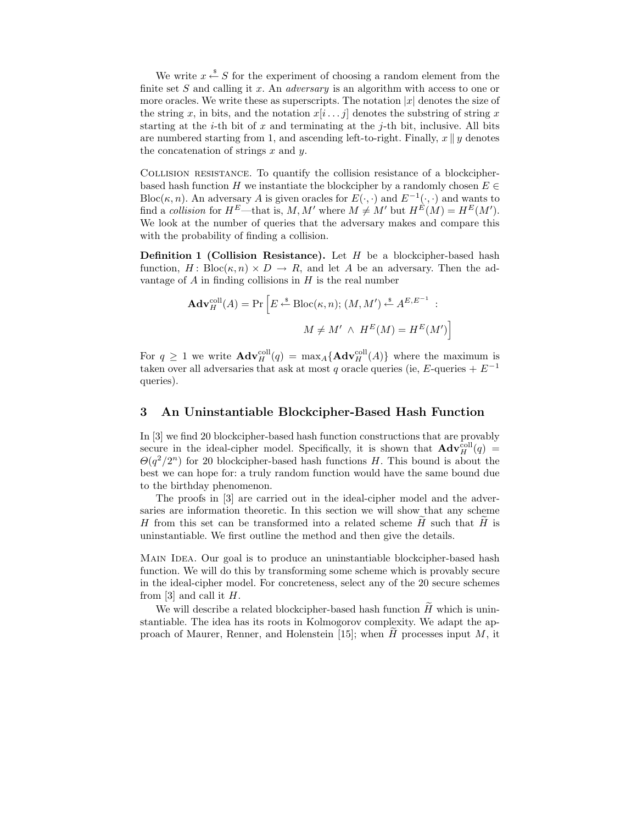We write  $x \stackrel{\hspace{0.1em}\mathsf{\scriptscriptstyle\$}}{\leftarrow} S$  for the experiment of choosing a random element from the finite set  $S$  and calling it  $x$ . An *adversary* is an algorithm with access to one or more oracles. We write these as superscripts. The notation  $|x|$  denotes the size of the string x, in bits, and the notation  $x[i \dots j]$  denotes the substring of string x starting at the  $i$ -th bit of x and terminating at the  $j$ -th bit, inclusive. All bits are numbered starting from 1, and ascending left-to-right. Finally,  $x \parallel y$  denotes the concatenation of strings  $x$  and  $y$ .

Collision resistance. To quantify the collision resistance of a blockcipherbased hash function H we instantiate the blockcipher by a randomly chosen  $E \in \mathcal{E}$ Bloc( $\kappa$ , n). An adversary A is given oracles for  $E(\cdot, \cdot)$  and  $E^{-1}(\cdot, \cdot)$  and wants to find a *collision* for  $H^E$ —that is, M, M' where  $M \neq M'$  but  $H^E(M) = H^E(M')$ . We look at the number of queries that the adversary makes and compare this with the probability of finding a collision.

**Definition 1 (Collision Resistance).** Let  $H$  be a blockcipher-based hash function,  $H: \text{Bloc}(\kappa, n) \times D \to R$ , and let A be an adversary. Then the advantage of  $A$  in finding collisions in  $H$  is the real number

$$
\mathbf{Adv}_{H}^{\text{coll}}(A) = \Pr\left[E \xleftarrow{\$} \text{Bloc}(\kappa, n); (M, M') \xleftarrow{\$} A^{E, E^{-1}$} : \right]
$$

$$
M \neq M' \land H^{E}(M) = H^{E}(M')\right]
$$

For  $q \geq 1$  we write  $\mathbf{Adv}_{H}^{coll}(q) = \max_{A} {\mathbf{Adv}_{H}^{coll}(A)}$  where the maximum is taken over all adversaries that ask at most q oracle queries (ie, E-queries +  $E^{-1}$ queries).

#### 3 An Uninstantiable Blockcipher-Based Hash Function

In [3] we find 20 blockcipher-based hash function constructions that are provably secure in the ideal-cipher model. Specifically, it is shown that  $\mathbf{Adv}_{H}^{coll}(q) =$  $\Theta(q^2/2^n)$  for 20 blockcipher-based hash functions H. This bound is about the best we can hope for: a truly random function would have the same bound due to the birthday phenomenon.

The proofs in [3] are carried out in the ideal-cipher model and the adversaries are information theoretic. In this section we will show that any scheme H from this set can be transformed into a related scheme  $H$  such that  $H$  is uninstantiable. We first outline the method and then give the details.

MAIN IDEA. Our goal is to produce an uninstantiable blockcipher-based hash function. We will do this by transforming some scheme which is provably secure in the ideal-cipher model. For concreteness, select any of the 20 secure schemes from [3] and call it  $H$ .

We will describe a related blockcipher-based hash function  $\tilde{H}$  which is uninstantiable. The idea has its roots in Kolmogorov complexity. We adapt the approach of Maurer, Renner, and Holenstein [15]; when  $H$  processes input M, it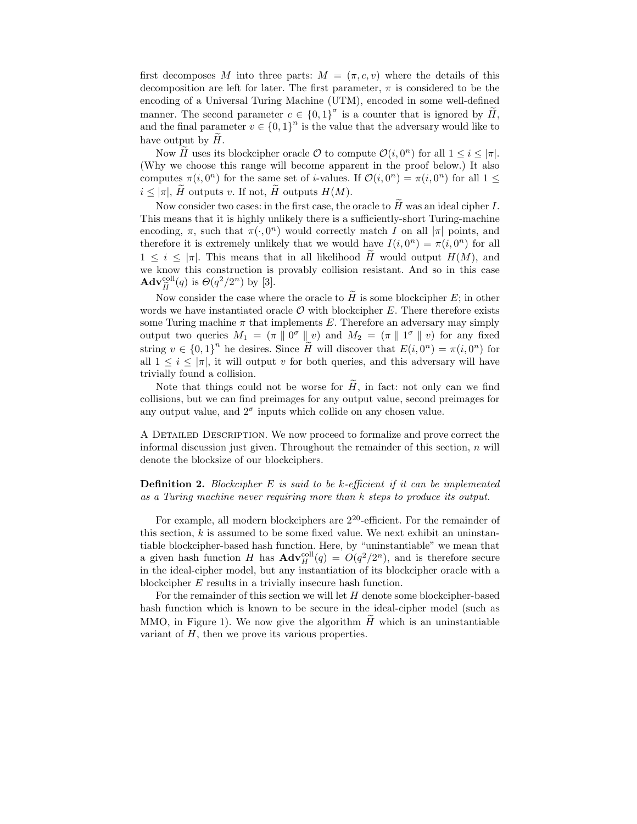first decomposes M into three parts:  $M = (\pi, c, v)$  where the details of this decomposition are left for later. The first parameter,  $\pi$  is considered to be the encoding of a Universal Turing Machine (UTM), encoded in some well-defined manner. The second parameter  $c \in \{0,1\}^{\sigma}$  is a counter that is ignored by  $\widetilde{H}$ , and the final parameter  $v \in \{0,1\}^n$  is the value that the adversary would like to have output by  $H$ .

Now H uses its blockcipher oracle  $\mathcal O$  to compute  $\mathcal O(i, 0^n)$  for all  $1 \leq i \leq |\pi|$ . (Why we choose this range will become apparent in the proof below.) It also computes  $\pi(i, 0^n)$  for the same set of *i*-values. If  $\mathcal{O}(i, 0^n) = \pi(i, 0^n)$  for all  $1 \leq$  $i \leq |\pi|$ ,  $\widetilde{H}$  outputs v. If not,  $\widetilde{H}$  outputs  $H(M)$ .

Now consider two cases: in the first case, the oracle to  $\widetilde{H}$  was an ideal cipher I. This means that it is highly unlikely there is a sufficiently-short Turing-machine encoding,  $\pi$ , such that  $\pi(\cdot, 0^n)$  would correctly match I on all  $|\pi|$  points, and therefore it is extremely unlikely that we would have  $I(i, 0^n) = \pi(i, 0^n)$  for all  $1 \leq i \leq |\pi|$ . This means that in all likelihood  $\widetilde{H}$  would output  $H(M)$ , and we know this construction is provably collision resistant. And so in this case  $\mathbf{Adv}_{\widetilde{H}}^{\text{coll}}(q)$  is  $\Theta(q^2/2^n)$  by [3].

Now consider the case where the oracle to  $\widetilde{H}$  is some blockcipher E; in other words we have instantiated oracle  $\mathcal O$  with blockcipher E. There therefore exists some Turing machine  $\pi$  that implements E. Therefore an adversary may simply output two queries  $M_1 = (\pi \parallel 0^{\sigma} \parallel v)$  and  $M_2 = (\pi \parallel 1^{\sigma} \parallel v)$  for any fixed string  $v \in \{0,1\}^n$  he desires. Since  $\widetilde{H}$  will discover that  $E(i,0^n) = \pi(i,0^n)$  for all  $1 \leq i \leq |\pi|$ , it will output v for both queries, and this adversary will have trivially found a collision.

Note that things could not be worse for  $H$ , in fact: not only can we find collisions, but we can find preimages for any output value, second preimages for any output value, and  $2^{\sigma}$  inputs which collide on any chosen value.

A DETAILED DESCRIPTION. We now proceed to formalize and prove correct the informal discussion just given. Throughout the remainder of this section,  $n$  will denote the blocksize of our blockciphers.

**Definition 2.** Blockcipher  $E$  is said to be  $k$ -efficient if it can be implemented as a Turing machine never requiring more than k steps to produce its output.

For example, all modern blockciphers are  $2^{20}$ -efficient. For the remainder of this section,  $k$  is assumed to be some fixed value. We next exhibit an uninstantiable blockcipher-based hash function. Here, by "uninstantiable" we mean that a given hash function H has  $\mathbf{Adv}_{H}^{\text{coll}}(q) = O(q^2/2^n)$ , and is therefore secure in the ideal-cipher model, but any instantiation of its blockcipher oracle with a blockcipher E results in a trivially insecure hash function.

For the remainder of this section we will let  $H$  denote some blockcipher-based hash function which is known to be secure in the ideal-cipher model (such as MMO, in Figure 1). We now give the algorithm  $H$  which is an uninstantiable variant of  $H$ , then we prove its various properties.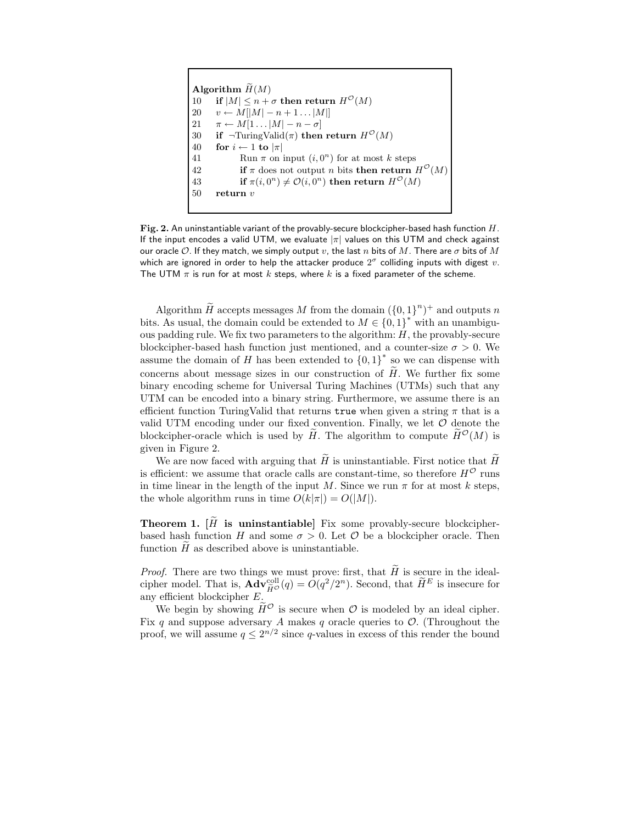```
Algorithm H(M)10 if |M| \leq n + \sigma then return H^{\mathcal{O}}(M)20 v \leftarrow M[|M| - n + 1 \dots |M|]21 \pi \leftarrow M[1 \dots |M| - n - \sigma]30 if \negTuringValid(\pi) then return H^{\mathcal{O}}(M)40 for i \leftarrow 1 to |\pi|41 Run \pi on input (i, 0^n) for at most k steps
42 if \pi does not output n bits then return H^{\mathcal{O}}(M)43 if \pi(i, 0^n) \neq \mathcal{O}(i, 0^n) then return H^{\mathcal{O}}(M)50 return v
```
Fig. 2. An uninstantiable variant of the provably-secure blockcipher-based hash function  $H$ . If the input encodes a valid UTM, we evaluate  $|\pi|$  values on this UTM and check against our oracle  $O$ . If they match, we simply output v, the last n bits of M. There are  $\sigma$  bits of M which are ignored in order to help the attacker produce  $2^{\sigma}$  colliding inputs with digest  $v$ . The UTM  $\pi$  is run for at most k steps, where k is a fixed parameter of the scheme.

Algorithm  $\widetilde{H}$  accepts messages M from the domain  $(\{0,1\}^n)^+$  and outputs n bits. As usual, the domain could be extended to  $M \in \{0,1\}^*$  with an unambiguous padding rule. We fix two parameters to the algorithm:  $H$ , the provably-secure blockcipher-based hash function just mentioned, and a counter-size  $\sigma > 0$ . We assume the domain of H has been extended to  $\{0,1\}^*$  so we can dispense with concerns about message sizes in our construction of  $H$ . We further fix some binary encoding scheme for Universal Turing Machines (UTMs) such that any UTM can be encoded into a binary string. Furthermore, we assume there is an efficient function TuringValid that returns  $true$  when given a string  $\pi$  that is a valid UTM encoding under our fixed convention. Finally, we let  $O$  denote the blockcipher-oracle which is used by  $\tilde{H}$ . The algorithm to compute  $\tilde{H}^{\mathcal{O}}(M)$  is given in Figure 2.

We are now faced with arguing that  $\widetilde{H}$  is uninstantiable. First notice that  $\widetilde{H}$ is efficient: we assume that oracle calls are constant-time, so therefore  $H^{\mathcal{O}}$  runs in time linear in the length of the input M. Since we run  $\pi$  for at most k steps, the whole algorithm runs in time  $O(k|\pi|) = O(|M|)$ .

**Theorem 1.**  $[\tilde{H}]$  is uninstantiable Fix some provably-secure blockcipherbased hash function H and some  $\sigma > 0$ . Let O be a blockcipher oracle. Then function  $\tilde{H}$  as described above is uninstantiable.

*Proof.* There are two things we must prove: first, that  $\tilde{H}$  is secure in the idealcipher model. That is,  $\mathbf{Adv}_{\widetilde{H}^{\mathcal{O}}}(q) = O(q^2/2^n)$ . Second, that  $\widetilde{H}^E$  is insecure for any efficient blockcipher E.

We begin by showing  $\widetilde{H}^{\mathcal{O}}$  is secure when  $\mathcal O$  is modeled by an ideal cipher. Fix q and suppose adversary A makes q oracle queries to  $\mathcal{O}$ . (Throughout the proof, we will assume  $q \leq 2^{n/2}$  since q-values in excess of this render the bound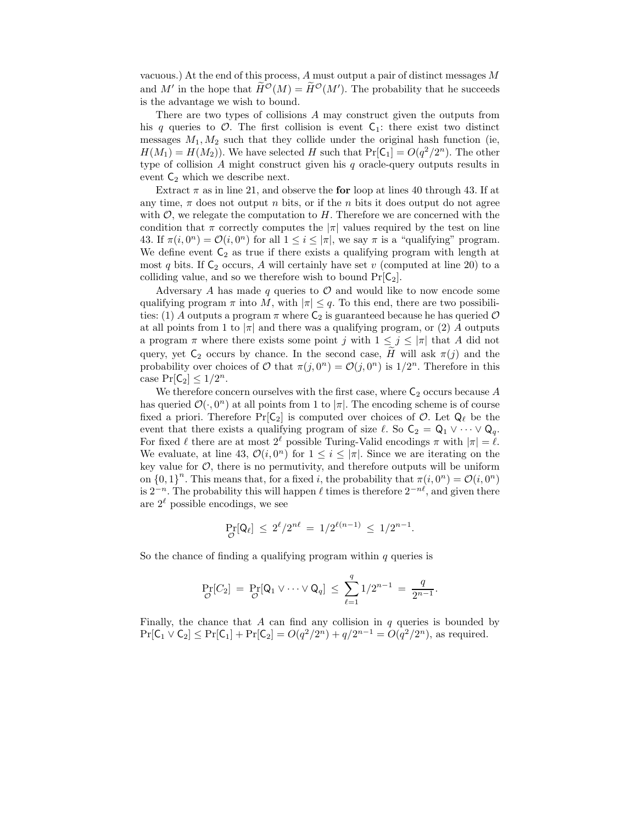vacuous.) At the end of this process, A must output a pair of distinct messages M and M' in the hope that  $\widetilde{H}^{\mathcal{O}}(M) = \widetilde{H}^{\mathcal{O}}(M')$ . The probability that he succeeds is the advantage we wish to bound.

There are two types of collisions A may construct given the outputs from his q queries to  $\mathcal O$ . The first collision is event  $C_1$ : there exist two distinct messages  $M_1, M_2$  such that they collide under the original hash function (ie,  $H(M_1) = H(M_2)$ . We have selected H such that  $Pr[\mathsf{C}_1] = O(q^2/2^n)$ . The other type of collision  $A$  might construct given his  $q$  oracle-query outputs results in event  $C_2$  which we describe next.

Extract  $\pi$  as in line 21, and observe the **for** loop at lines 40 through 43. If at any time,  $\pi$  does not output n bits, or if the n bits it does output do not agree with  $\mathcal{O}$ , we relegate the computation to H. Therefore we are concerned with the condition that  $\pi$  correctly computes the  $|\pi|$  values required by the test on line 43. If  $\pi(i, 0^n) = \mathcal{O}(i, 0^n)$  for all  $1 \leq i \leq |\pi|$ , we say  $\pi$  is a "qualifying" program. We define event  $C_2$  as true if there exists a qualifying program with length at most q bits. If  $C_2$  occurs, A will certainly have set v (computed at line 20) to a colliding value, and so we therefore wish to bound  $Pr[C_2]$ .

Adversary A has made q queries to  $\mathcal O$  and would like to now encode some qualifying program  $\pi$  into  $M$ , with  $|\pi| \leq q$ . To this end, there are two possibilities: (1) A outputs a program  $\pi$  where  $C_2$  is guaranteed because he has queried  $\mathcal O$ at all points from 1 to  $|\pi|$  and there was a qualifying program, or (2) A outputs a program  $\pi$  where there exists some point j with  $1 \leq j \leq |\pi|$  that A did not query, yet C<sub>2</sub> occurs by chance. In the second case, H will ask  $\pi(j)$  and the probability over choices of  $\mathcal O$  that  $\pi(j, 0^n) = \mathcal O(j, 0^n)$  is  $1/2^n$ . Therefore in this case  $Pr[C_2] \leq 1/2^n$ .

We therefore concern ourselves with the first case, where  $C_2$  occurs because A has queried  $\mathcal{O}(\cdot, 0^n)$  at all points from 1 to  $|\pi|$ . The encoding scheme is of course fixed a priori. Therefore  $Pr[C_2]$  is computed over choices of  $\mathcal{O}$ . Let  $Q_\ell$  be the event that there exists a qualifying program of size  $\ell$ . So  $C_2 = Q_1 \vee \cdots \vee Q_q$ . For fixed  $\ell$  there are at most  $2^{\ell}$  possible Turing-Valid encodings  $\pi$  with  $|\pi| = \ell$ . We evaluate, at line 43,  $\mathcal{O}(i, 0^n)$  for  $1 \leq i \leq |\pi|$ . Since we are iterating on the key value for  $\mathcal{O}$ , there is no permutivity, and therefore outputs will be uniform on  ${0,1}^n$ . This means that, for a fixed i, the probability that  $\pi(i,0^n) = \mathcal{O}(i,0^n)$ is  $2^{-n}$ . The probability this will happen  $\ell$  times is therefore  $2^{-n\ell}$ , and given there are  $2^{\ell}$  possible encodings, we see

$$
\Pr_{\mathcal{O}}[Q_{\ell}] \le 2^{\ell}/2^{n\ell} = 1/2^{\ell(n-1)} \le 1/2^{n-1}.
$$

So the chance of finding a qualifying program within  $q$  queries is

$$
\Pr_{\mathcal{O}}[C_2] = \Pr_{\mathcal{O}}[Q_1 \vee \cdots \vee Q_q] \le \sum_{\ell=1}^q 1/2^{n-1} = \frac{q}{2^{n-1}}.
$$

Finally, the chance that A can find any collision in  $q$  queries is bounded by  $Pr[C_1 \vee C_2] \leq Pr[C_1] + Pr[C_2] = O(q^2/2^n) + q/2^{n-1} = O(q^2/2^n)$ , as required.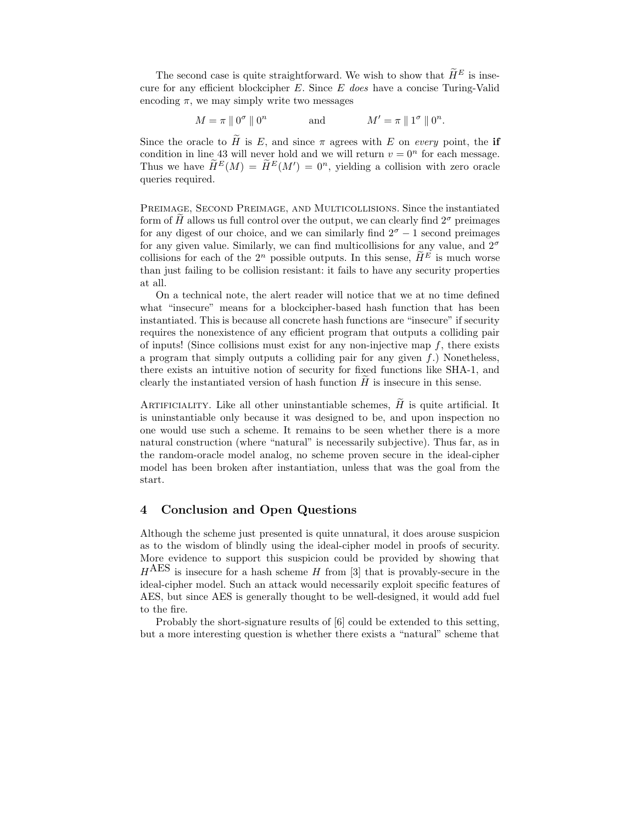The second case is quite straightforward. We wish to show that  $\widetilde{H}^E$  is insecure for any efficient blockcipher E. Since E does have a concise Turing-Valid encoding  $\pi$ , we may simply write two messages

$$
M = \pi \parallel 0^{\sigma} \parallel 0^n \qquad \text{and} \qquad M' = \pi \parallel 1^{\sigma} \parallel 0^n.
$$

Since the oracle to  $\tilde{H}$  is E, and since  $\pi$  agrees with E on every point, the if condition in line 43 will never hold and we will return  $v = 0<sup>n</sup>$  for each message. Thus we have  $\widetilde{H}^E(M) = \widetilde{H}^E(M') = 0^n$ , yielding a collision with zero oracle queries required.

Preimage, Second Preimage, and Multicollisions. Since the instantiated form of  $\tilde{H}$  allows us full control over the output, we can clearly find  $2^{\sigma}$  preimages for any digest of our choice, and we can similarly find  $2^{\sigma} - 1$  second preimages for any given value. Similarly, we can find multicollisions for any value, and  $2^{\sigma}$ collisions for each of the  $2^n$  possible outputs. In this sense,  $H^E$  is much worse than just failing to be collision resistant: it fails to have any security properties at all.

On a technical note, the alert reader will notice that we at no time defined what "insecure" means for a blockcipher-based hash function that has been instantiated. This is because all concrete hash functions are "insecure" if security requires the nonexistence of any efficient program that outputs a colliding pair of inputs! (Since collisions must exist for any non-injective map  $f$ , there exists a program that simply outputs a colliding pair for any given  $f$ .) Nonetheless, there exists an intuitive notion of security for fixed functions like SHA-1, and clearly the instantiated version of hash function  $H$  is insecure in this sense.

ARTIFICIALITY. Like all other uninstantiable schemes,  $\widetilde{H}$  is quite artificial. It is uninstantiable only because it was designed to be, and upon inspection no one would use such a scheme. It remains to be seen whether there is a more natural construction (where "natural" is necessarily subjective). Thus far, as in the random-oracle model analog, no scheme proven secure in the ideal-cipher model has been broken after instantiation, unless that was the goal from the start.

## 4 Conclusion and Open Questions

Although the scheme just presented is quite unnatural, it does arouse suspicion as to the wisdom of blindly using the ideal-cipher model in proofs of security. More evidence to support this suspicion could be provided by showing that  $H<sup>AES</sup>$  is insecure for a hash scheme H from [3] that is provably-secure in the ideal-cipher model. Such an attack would necessarily exploit specific features of AES, but since AES is generally thought to be well-designed, it would add fuel to the fire.

Probably the short-signature results of [6] could be extended to this setting, but a more interesting question is whether there exists a "natural" scheme that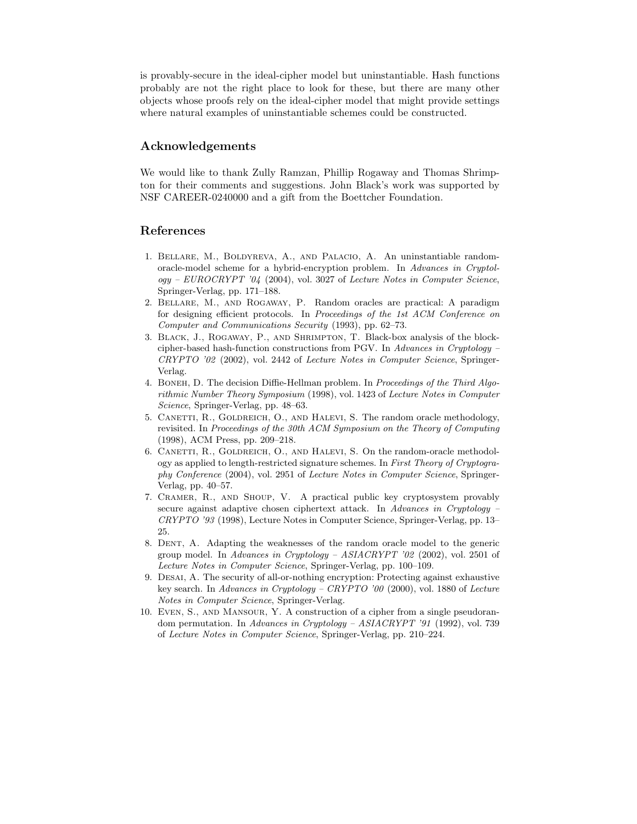is provably-secure in the ideal-cipher model but uninstantiable. Hash functions probably are not the right place to look for these, but there are many other objects whose proofs rely on the ideal-cipher model that might provide settings where natural examples of uninstantiable schemes could be constructed.

## Acknowledgements

We would like to thank Zully Ramzan, Phillip Rogaway and Thomas Shrimpton for their comments and suggestions. John Black's work was supported by NSF CAREER-0240000 and a gift from the Boettcher Foundation.

## References

- 1. Bellare, M., Boldyreva, A., and Palacio, A. An uninstantiable randomoracle-model scheme for a hybrid-encryption problem. In Advances in Cryptol $ogy - EUROCRYPT'04$  (2004), vol. 3027 of Lecture Notes in Computer Science, Springer-Verlag, pp. 171–188.
- 2. Bellare, M., and Rogaway, P. Random oracles are practical: A paradigm for designing efficient protocols. In Proceedings of the 1st ACM Conference on Computer and Communications Security (1993), pp. 62–73.
- 3. Black, J., Rogaway, P., and Shrimpton, T. Black-box analysis of the blockcipher-based hash-function constructions from PGV. In Advances in Cryptology – CRYPTO '02 (2002), vol. 2442 of Lecture Notes in Computer Science, Springer-Verlag.
- 4. Boneh, D. The decision Diffie-Hellman problem. In Proceedings of the Third Algorithmic Number Theory Symposium (1998), vol. 1423 of Lecture Notes in Computer Science, Springer-Verlag, pp. 48–63.
- 5. Canetti, R., Goldreich, O., and Halevi, S. The random oracle methodology, revisited. In Proceedings of the 30th ACM Symposium on the Theory of Computing (1998), ACM Press, pp. 209–218.
- 6. CANETTI, R., GOLDREICH, O., AND HALEVI, S. On the random-oracle methodology as applied to length-restricted signature schemes. In First Theory of Cryptography Conference (2004), vol. 2951 of Lecture Notes in Computer Science, Springer-Verlag, pp. 40–57.
- 7. Cramer, R., and Shoup, V. A practical public key cryptosystem provably secure against adaptive chosen ciphertext attack. In Advances in Cryptology – CRYPTO '93 (1998), Lecture Notes in Computer Science, Springer-Verlag, pp. 13– 25.
- 8. Dent, A. Adapting the weaknesses of the random oracle model to the generic group model. In Advances in Cryptology – ASIACRYPT '02 (2002), vol. 2501 of Lecture Notes in Computer Science, Springer-Verlag, pp. 100–109.
- 9. Desai, A. The security of all-or-nothing encryption: Protecting against exhaustive key search. In Advances in Cryptology – CRYPTO '00 (2000), vol. 1880 of Lecture Notes in Computer Science, Springer-Verlag.
- 10. Even, S., and Mansour, Y. A construction of a cipher from a single pseudorandom permutation. In Advances in Cryptology – ASIACRYPT '91 (1992), vol. 739 of Lecture Notes in Computer Science, Springer-Verlag, pp. 210–224.